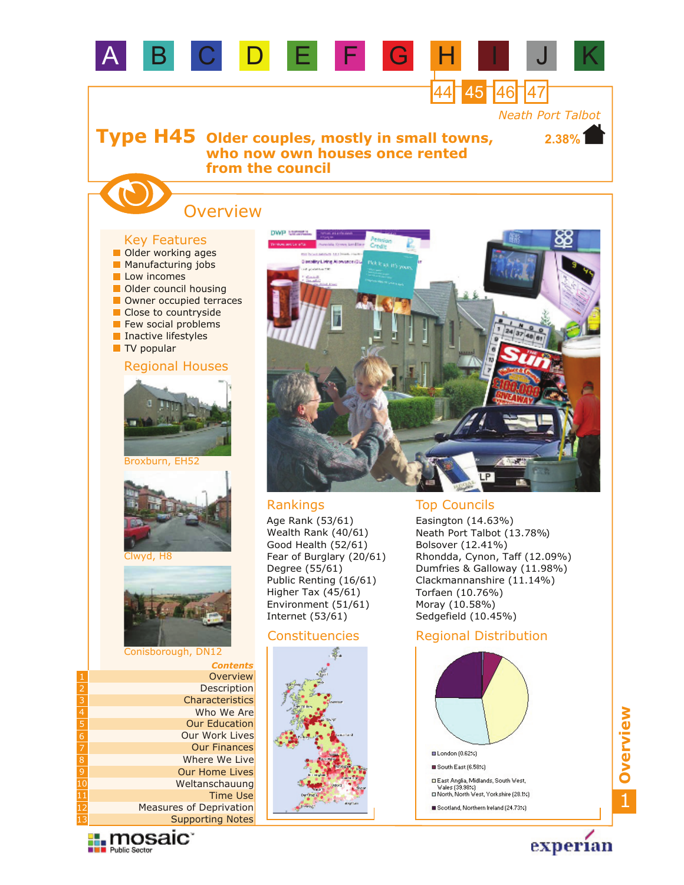

### Constituencies



### Regional Distribution



1**Overview**



Conisborough, DN12

2 3

5

7 8

10

12 13 *Contents*

**Description Overview** 

Characteristics Who We Are

Our Work Lives Our Education

Supporting Notes Measures of Deprivation

Our Finances Where We Live Our Home Lives Weltanschauung

Time Use

experian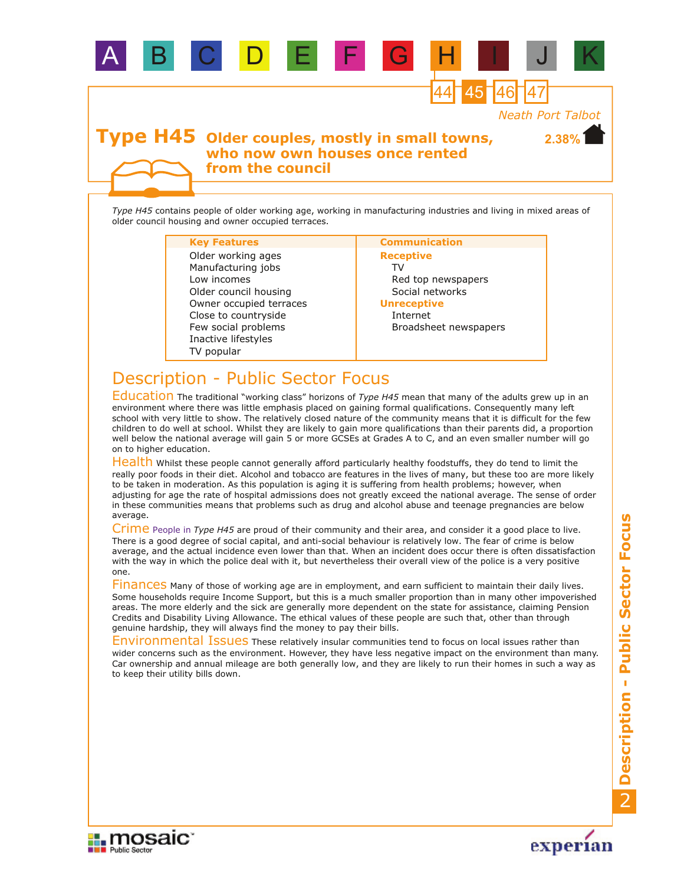

A B C D E F G H I J K

*Type H45* contains people of older working age, working in manufacturing industries and living in mixed areas of older council housing and owner occupied terraces.

TV popular Few social problems Low incomes Older council housing Owner occupied terraces Inactive lifestyles Close to countryside Manufacturing jobs Older working ages

### **Key Features Communication**

**Receptive** TV Red top newspapers Social networks **Unreceptive**

Internet Broadsheet newspapers

# Description - Public Sector Focus

Education The traditional "working class" horizons of *Type H45* mean that many of the adults grew up in an environment where there was little emphasis placed on gaining formal qualifications. Consequently many left school with very little to show. The relatively closed nature of the community means that it is difficult for the few children to do well at school. Whilst they are likely to gain more qualifications than their parents did, a proportion well below the national average will gain 5 or more GCSEs at Grades A to C, and an even smaller number will go on to higher education.

Health Whilst these people cannot generally afford particularly healthy foodstuffs, they do tend to limit the really poor foods in their diet. Alcohol and tobacco are features in the lives of many, but these too are more likely to be taken in moderation. As this population is aging it is suffering from health problems; however, when adjusting for age the rate of hospital admissions does not greatly exceed the national average. The sense of order in these communities means that problems such as drug and alcohol abuse and teenage pregnancies are below average.

Crime People in Type H45 are proud of their community and their area, and consider it a good place to live. There is a good degree of social capital, and anti-social behaviour is relatively low. The fear of crime is below average, and the actual incidence even lower than that. When an incident does occur there is often dissatisfaction with the way in which the police deal with it, but nevertheless their overall view of the police is a very positive one.

Finances Many of those of working age are in employment, and earn sufficient to maintain their daily lives. Some households require Income Support, but this is a much smaller proportion than in many other impoverished areas. The more elderly and the sick are generally more dependent on the state for assistance, claiming Pension Credits and Disability Living Allowance. The ethical values of these people are such that, other than through genuine hardship, they will always find the money to pay their bills.

Environmental Issues These relatively insular communities tend to focus on local issues rather than wider concerns such as the environment. However, they have less negative impact on the environment than many. Car ownership and annual mileage are both generally low, and they are likely to run their homes in such a way as to keep their utility bills down.



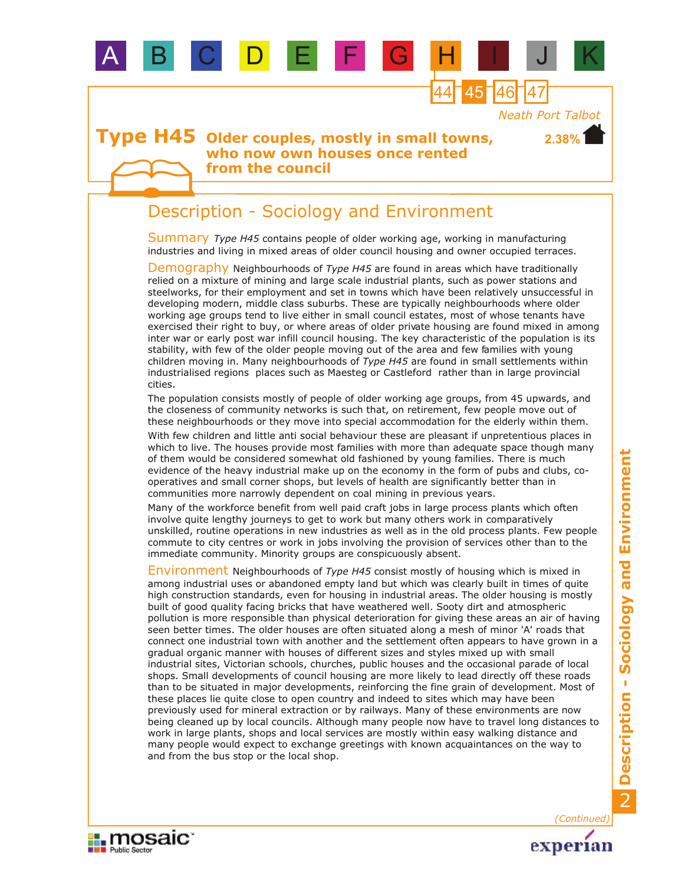

# Description - Sociology and Environment

B C D E F

Summary Type H45 contains people of older working age, working in manufacturing industries and living in mixed areas of older council housing and owner occupied terraces.

Demography Neighbourhoods of Type H45 are found in areas which have traditionally relied on a mixture of mining and large scale industrial plants, such as power stations and steelworks, for their employment and set in towns which have been relatively unsuccessful in developing modern, middle class suburbs. These are typically neighbourhoods where older working age groups tend to live either in small council estates, most of whose tenants have exercised their right to buy, or where areas of older private housing are found mixed in among inter war or early post war infill council housing. The key characteristic of the population is its stability, with few of the older people moving out of the area and few families with young children moving in. Many neighbourhoods of *Type H45* are found in small settlements within industrialised regions places such as Maesteg or Castleford rather than in large provincial cities.

The population consists mostly of people of older working age groups, from 45 upwards, and the closeness of community networks is such that, on retirement, few people move out of these neighbourhoods or they move into special accommodation for the elderly within them.

With few children and little anti social behaviour these are pleasant if unpretentious places in which to live. The houses provide most families with more than adequate space though many of them would be considered somewhat old fashioned by young families. There is much evidence of the heavy industrial make up on the economy in the form of pubs and clubs, cooperatives and small corner shops, but levels of health are significantly better than in communities more narrowly dependent on coal mining in previous years.

Many of the workforce benefit from well paid craft jobs in large process plants which often involve quite lengthy journeys to get to work but many others work in comparatively unskilled, routine operations in new industries as well as in the old process plants. Few people commute to city centres or work in jobs involving the provision of services other than to the immediate community. Minority groups are conspicuously absent.

Environment Neighbourhoods of Type H45 consist mostly of housing which is mixed in among industrial uses or abandoned empty land but which was clearly built in times of quite high construction standards, even for housing in industrial areas. The older housing is mostly built of good quality facing bricks that have weathered well. Sooty dirt and atmospheric pollution is more responsible than physical deterioration for giving these areas an air of having seen better times. The older houses are often situated along a mesh of minor 'A' roads that connect one industrial town with another and the settlement often appears to have grown in a gradual organic manner with houses of different sizes and styles mixed up with small industrial sites, Victorian schools, churches, public houses and the occasional parade of local shops. Small developments of council housing are more likely to lead directly off these roads than to be situated in major developments, reinforcing the fine grain of development. Most of these places lie quite close to open country and indeed to sites which may have been previously used for mineral extraction or by railways. Many of these environments are now being cleaned up by local councils. Although many people now have to travel long distances to work in large plants, shops and local services are mostly within easy walking distance and many people would expect to exchange greetings with known acquaintances on the way to and from the bus stop or the local shop.



experian

*(Continued)*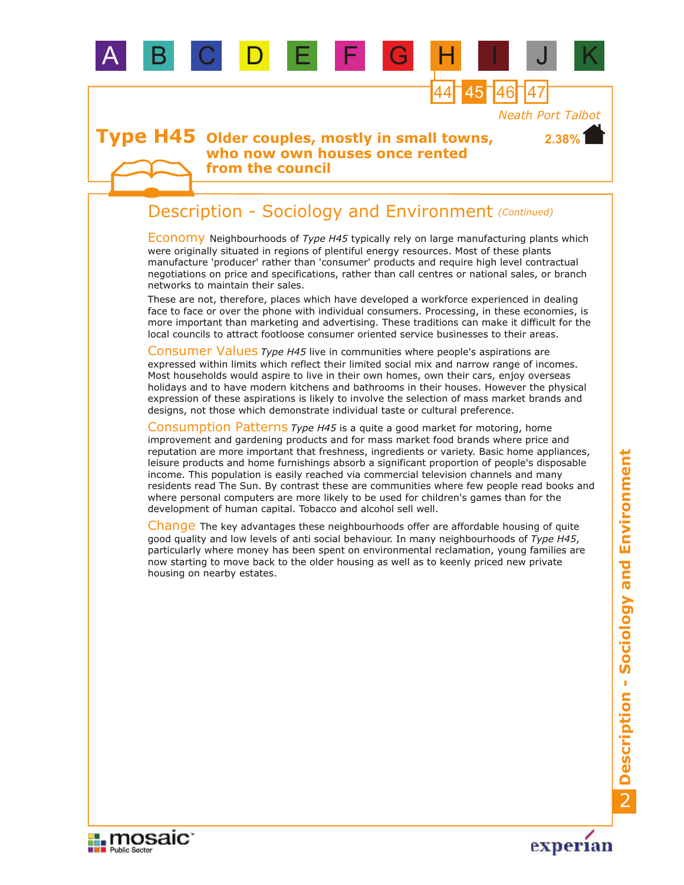

A B C D E F G H I J K

**from the council**

# Description - Sociology and Environment *(Continued)*

Economy Neighbourhoods of *Type H45* typically rely on large manufacturing plants which were originally situated in regions of plentiful energy resources. Most of these plants manufacture 'producer' rather than 'consumer' products and require high level contractual negotiations on price and specifications, rather than call centres or national sales, or branch networks to maintain their sales.

These are not, therefore, places which have developed a workforce experienced in dealing face to face or over the phone with individual consumers. Processing, in these economies, is more important than marketing and advertising. These traditions can make it difficult for the local councils to attract footloose consumer oriented service businesses to their areas.

Consumer Values *Type H45* live in communities where people's aspirations are expressed within limits which reflect their limited social mix and narrow range of incomes. Most households would aspire to live in their own homes, own their cars, enjoy overseas holidays and to have modern kitchens and bathrooms in their houses. However the physical expression of these aspirations is likely to involve the selection of mass market brands and designs, not those which demonstrate individual taste or cultural preference.

Consumption Patterns *Type H45* is a quite a good market for motoring, home improvement and gardening products and for mass market food brands where price and reputation are more important that freshness, ingredients or variety. Basic home appliances, leisure products and home furnishings absorb a significant proportion of people's disposable income. This population is easily reached via commercial television channels and many residents read The Sun. By contrast these are communities where few people read books and where personal computers are more likely to be used for children's games than for the development of human capital. Tobacco and alcohol sell well.

Change The key advantages these neighbourhoods offer are affordable housing of quite good quality and low levels of anti social behaviour. In many neighbourhoods of *Type H45*, particularly where money has been spent on environmental reclamation, young families are now starting to move back to the older housing as well as to keenly priced new private housing on nearby estates.